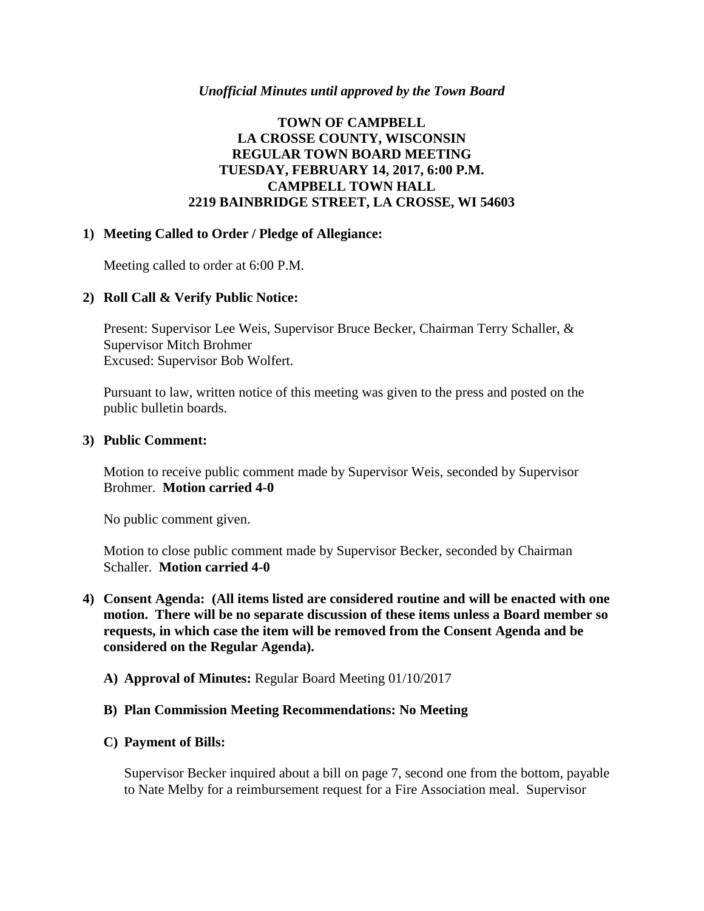### *Unofficial Minutes until approved by the Town Board*

# **TOWN OF CAMPBELL LA CROSSE COUNTY, WISCONSIN REGULAR TOWN BOARD MEETING TUESDAY, FEBRUARY 14, 2017, 6:00 P.M. CAMPBELL TOWN HALL 2219 BAINBRIDGE STREET, LA CROSSE, WI 54603**

### **1) Meeting Called to Order / Pledge of Allegiance:**

Meeting called to order at 6:00 P.M.

## **2) Roll Call & Verify Public Notice:**

Present: Supervisor Lee Weis, Supervisor Bruce Becker, Chairman Terry Schaller, & Supervisor Mitch Brohmer Excused: Supervisor Bob Wolfert.

Pursuant to law, written notice of this meeting was given to the press and posted on the public bulletin boards.

### **3) Public Comment:**

Motion to receive public comment made by Supervisor Weis, seconded by Supervisor Brohmer. **Motion carried 4-0**

No public comment given.

Motion to close public comment made by Supervisor Becker, seconded by Chairman Schaller. **Motion carried 4-0**

- **4) Consent Agenda: (All items listed are considered routine and will be enacted with one motion. There will be no separate discussion of these items unless a Board member so requests, in which case the item will be removed from the Consent Agenda and be considered on the Regular Agenda).**
	- **A) Approval of Minutes:** Regular Board Meeting 01/10/2017

### **B) Plan Commission Meeting Recommendations: No Meeting**

### **C) Payment of Bills:**

Supervisor Becker inquired about a bill on page 7, second one from the bottom, payable to Nate Melby for a reimbursement request for a Fire Association meal. Supervisor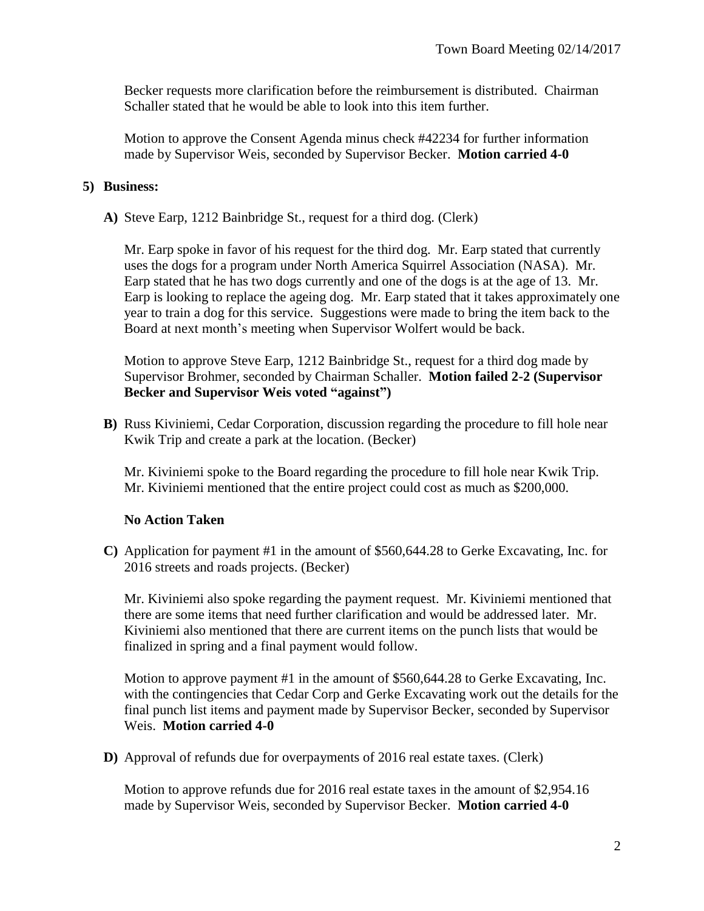Becker requests more clarification before the reimbursement is distributed. Chairman Schaller stated that he would be able to look into this item further.

Motion to approve the Consent Agenda minus check #42234 for further information made by Supervisor Weis, seconded by Supervisor Becker. **Motion carried 4-0**

# **5) Business:**

**A)** Steve Earp, 1212 Bainbridge St., request for a third dog. (Clerk)

Mr. Earp spoke in favor of his request for the third dog. Mr. Earp stated that currently uses the dogs for a program under North America Squirrel Association (NASA). Mr. Earp stated that he has two dogs currently and one of the dogs is at the age of 13. Mr. Earp is looking to replace the ageing dog. Mr. Earp stated that it takes approximately one year to train a dog for this service. Suggestions were made to bring the item back to the Board at next month's meeting when Supervisor Wolfert would be back.

Motion to approve Steve Earp, 1212 Bainbridge St., request for a third dog made by Supervisor Brohmer, seconded by Chairman Schaller. **Motion failed 2-2 (Supervisor Becker and Supervisor Weis voted "against")**

**B)** Russ Kiviniemi, Cedar Corporation, discussion regarding the procedure to fill hole near Kwik Trip and create a park at the location. (Becker)

Mr. Kiviniemi spoke to the Board regarding the procedure to fill hole near Kwik Trip. Mr. Kiviniemi mentioned that the entire project could cost as much as \$200,000.

# **No Action Taken**

**C)** Application for payment #1 in the amount of \$560,644.28 to Gerke Excavating, Inc. for 2016 streets and roads projects. (Becker)

Mr. Kiviniemi also spoke regarding the payment request. Mr. Kiviniemi mentioned that there are some items that need further clarification and would be addressed later. Mr. Kiviniemi also mentioned that there are current items on the punch lists that would be finalized in spring and a final payment would follow.

Motion to approve payment #1 in the amount of \$560,644.28 to Gerke Excavating, Inc. with the contingencies that Cedar Corp and Gerke Excavating work out the details for the final punch list items and payment made by Supervisor Becker, seconded by Supervisor Weis. **Motion carried 4-0**

**D)** Approval of refunds due for overpayments of 2016 real estate taxes. (Clerk)

Motion to approve refunds due for 2016 real estate taxes in the amount of \$2,954.16 made by Supervisor Weis, seconded by Supervisor Becker. **Motion carried 4-0**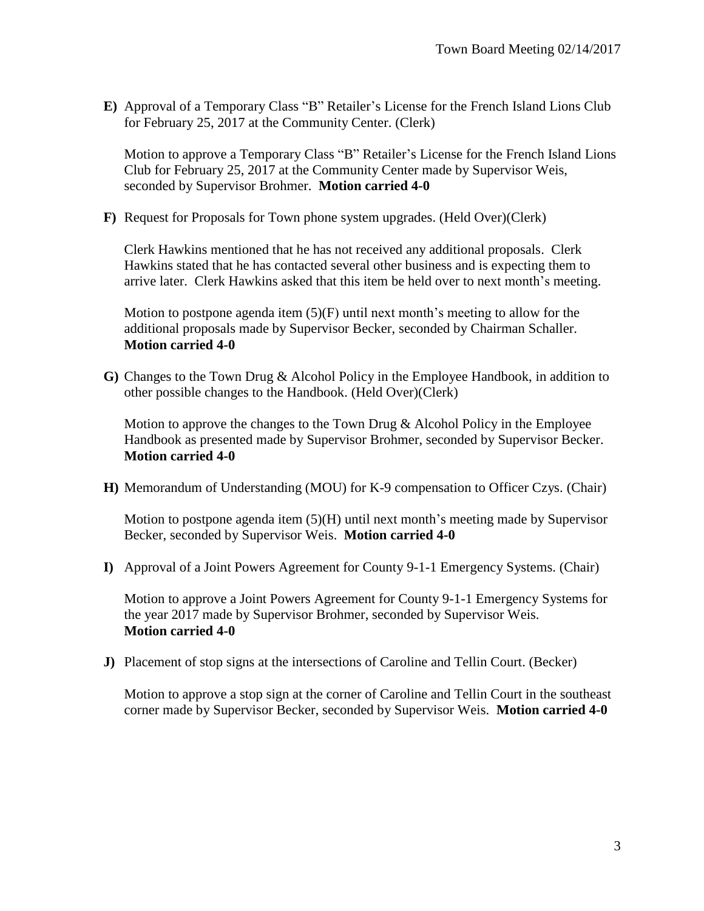**E)** Approval of a Temporary Class "B" Retailer's License for the French Island Lions Club for February 25, 2017 at the Community Center. (Clerk)

Motion to approve a Temporary Class "B" Retailer's License for the French Island Lions Club for February 25, 2017 at the Community Center made by Supervisor Weis, seconded by Supervisor Brohmer. **Motion carried 4-0**

**F)** Request for Proposals for Town phone system upgrades. (Held Over)(Clerk)

Clerk Hawkins mentioned that he has not received any additional proposals. Clerk Hawkins stated that he has contacted several other business and is expecting them to arrive later. Clerk Hawkins asked that this item be held over to next month's meeting.

Motion to postpone agenda item  $(5)(F)$  until next month's meeting to allow for the additional proposals made by Supervisor Becker, seconded by Chairman Schaller. **Motion carried 4-0**

**G)** Changes to the Town Drug & Alcohol Policy in the Employee Handbook, in addition to other possible changes to the Handbook. (Held Over)(Clerk)

Motion to approve the changes to the Town Drug  $&$  Alcohol Policy in the Employee Handbook as presented made by Supervisor Brohmer, seconded by Supervisor Becker. **Motion carried 4-0**

**H)** Memorandum of Understanding (MOU) for K-9 compensation to Officer Czys. (Chair)

Motion to postpone agenda item  $(5)(H)$  until next month's meeting made by Supervisor Becker, seconded by Supervisor Weis. **Motion carried 4-0**

**I)** Approval of a Joint Powers Agreement for County 9-1-1 Emergency Systems. (Chair)

Motion to approve a Joint Powers Agreement for County 9-1-1 Emergency Systems for the year 2017 made by Supervisor Brohmer, seconded by Supervisor Weis. **Motion carried 4-0**

**J)** Placement of stop signs at the intersections of Caroline and Tellin Court. (Becker)

Motion to approve a stop sign at the corner of Caroline and Tellin Court in the southeast corner made by Supervisor Becker, seconded by Supervisor Weis. **Motion carried 4-0**